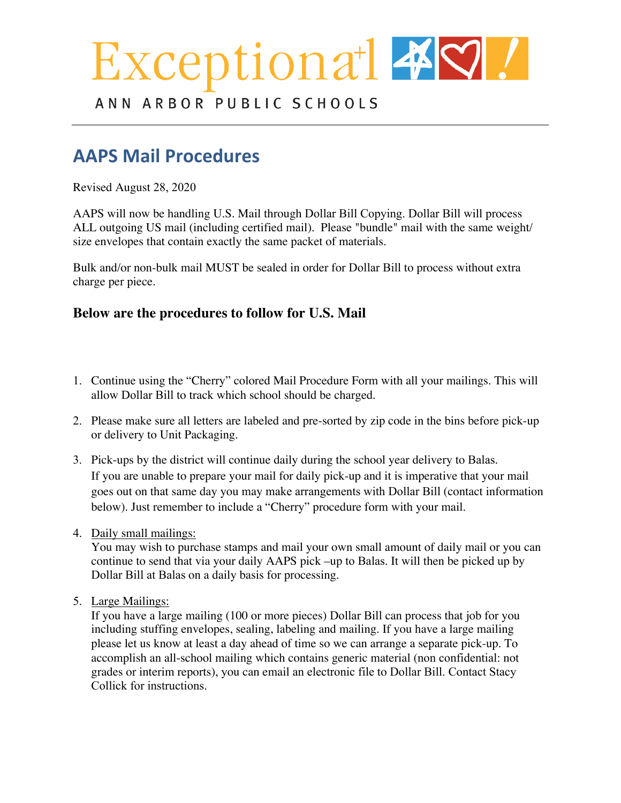# ceptiona<sup>+</sup>  $\frac{1}{2}$

ANN ARBOR PUBLIC SCHOOLS

# **AAPS Mail Procedures**

Revised August 31, 2020

AAPS will now handle U.S. Mail through Dollar Bill Copying. Dollar Bill will process ALL outgoing US mail (including certified mail). Please "bundle" mail with the same weight/size envelopes that contain exactly the same packet of materials.  $Kh''\{qw''\,\csc'c''\,\csc'w''\}$  $E$ dwknfkpi"qt"kh"{qw"rwtejcug"uvcoru"{qw"oc{"eqpvkpwg"vq"wug"vjqug"ogvjqfu0"Vjg"ugtxkegu"{qw"  $e$ jqqug"vq"wug"vjtqwij" $F$ qmct" $D$ knn" $ctg$ "wr"vq" $\{$ qwt" $f$ gr $ctv$ ogpvldwkn $f$ kpi" $pggfu$ " $cf$ "dw $f$ igy $\emptyset$ 

Vg"ucxg"equvu"qp"rquvcig."rtkpvkpi."cpf"tgncvgf"ugtxkeg"ejctigu."rngcug"hktuv"eqpukfgt"vjg"wug"qh" vig"xcriqwu" rncvhqtou" vig" fkuvtkev" qhhgtu" hqt" eqoowpkecvkqp" \*gockn. "Uejqqnqi{." Rqygt Uejqqn."  $ge.+, "cpf"$ wug"dwnm" o ckn" y jgtg" rquukdng#

Hqt"Fqnnct"Dknn"Ugtxkeg."rngcug"eqorngyg"c"dncpmgv"rwtejcug"qtfgt"hqt"xgpfqt"%4692:0"Rngcug" fkuewuu"ykvj"{qwt"dwfigy"ocpcigt"vq"dg"egtvckp"vjg"hwpfu"ctg"cxckncdng0"Vjg"ugtxkegu"rtqxkfgf"  $\text{o}$ c{"dg" yqtvj"vjg"gzrgpug"xgtuwu"vjg"equv"qh"uvchh"ncdqt $\theta$ 

# 3**rocHdures to follow for U.S. Mail**

 Continue using the "Cherry" colored Mail Procedure Form with all your mailings. This will allow Dollar Bill to track which school should be charged.

 Please make sure all letters are labeled and pre-sorted by zip code in the bins before pick-up or delivery to Dollar Bill.

 Pick-ups by the district will continue during the school year delivery to Balas. If you are unable to prepare your mail for daily pick-up and it is imperative that your mail goes out on that same day you may make arrangements with Dollar Bill (contact information below). Just remember to include a "Cherry" procedure form with your mail.

## Daily Small Mailings

You may wish to use your building meter or purchase stamps and mail your own small amount of daily mail \*3/322" rkgegu+," or you can continue to send that mail via your tqww. AAPS pick up to Balas.  $\int$  qw" y knn"hqnf." uvwh h." and address." It will then be picked up by Dollar Bill at Balas on a daily basis for processing."Fqnnct"Dknn" y knn"ugcn" cpf" o gygt" v j g" rquvci g" cpf"  $\mathbf{v}$ knn"kpxqkeg"vig"qtkikpcvkpi" fgrctvogpvlue i qqn"dwknfkpi" vig" cevwcn" rquvcig" wugf $0$ 

Large Mailings

If you have a large mailing (100 or more pieces) Dollar Bill can process that job for you including stuffing envelopes, sealing, labeling and mailing. If you have a large mailing please contact Stacy at Dollar Bill at least a day ahead of time so they can arrange a separate pick-up. Eq o rngyg"vjg" rtqxkfgf" hqt o "chygt" fkuewuukpi "vjg"  $\lg$ " qd" ykvj "Uvce {"cpf" uwd o kv" kv" ykvj" vig"lqd"ugpv"vq"Dencu"qt"rkemgf"wr"d{"Fqmet"Dkm0"To accomplish an all-school mailing which contains generic material (non confidential: no grades or interim reports), you can email an electronic file to Dollar Bill. Contact Stacy Collick for instructions" cpf" equvul